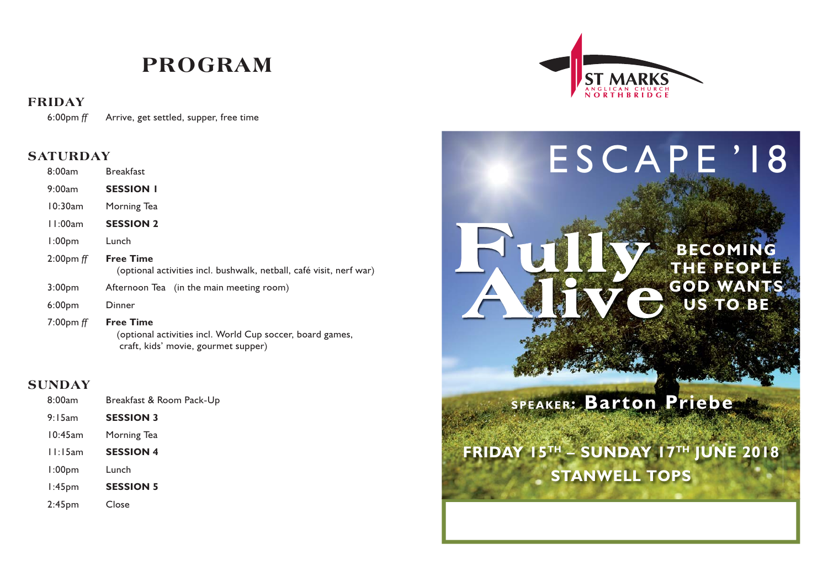## **PROGRAM**

### **FRIDAY**

6:00pm *ff* Arrive, get settled, supper, free time

### **SATURDAY**

| 8:00am                      | <b>Breakfast</b>                                                                        |
|-----------------------------|-----------------------------------------------------------------------------------------|
| 9:00am                      | <b>SESSION I</b>                                                                        |
| 10:30am                     | Morning Tea                                                                             |
| 11:00am                     | <b>SESSION 2</b>                                                                        |
| 1:00 <sub>pm</sub>          | Lunch                                                                                   |
| $2:00 \text{pm} \text{ ff}$ | <b>Free Time</b><br>(optional activities incl. bushwalk, netball, café visit, nerf war) |
| 3:00 <sub>pm</sub>          | Afternoon Tea (in the main meeting room)                                                |
| 6:00 <sub>pm</sub>          | Dinner                                                                                  |
| $7:00$ pm ff                | <b>Free Time</b>                                                                        |

 (optional activities incl. World Cup soccer, board games, craft, kids' movie, gourmet supper)

### **SUNDAY**

| 8:00am             | Breakfast & Room Pack-Up |  |
|--------------------|--------------------------|--|
| 9:15am             | <b>SESSION 3</b>         |  |
| 10:45am            | Morning Tea              |  |
| 11:15am            | <b>SESSION 4</b>         |  |
| 1:00 <sub>pm</sub> | Lunch                    |  |
| $1:45$ pm          | <b>SESSION 5</b>         |  |
| $2:45$ pm          | Close                    |  |



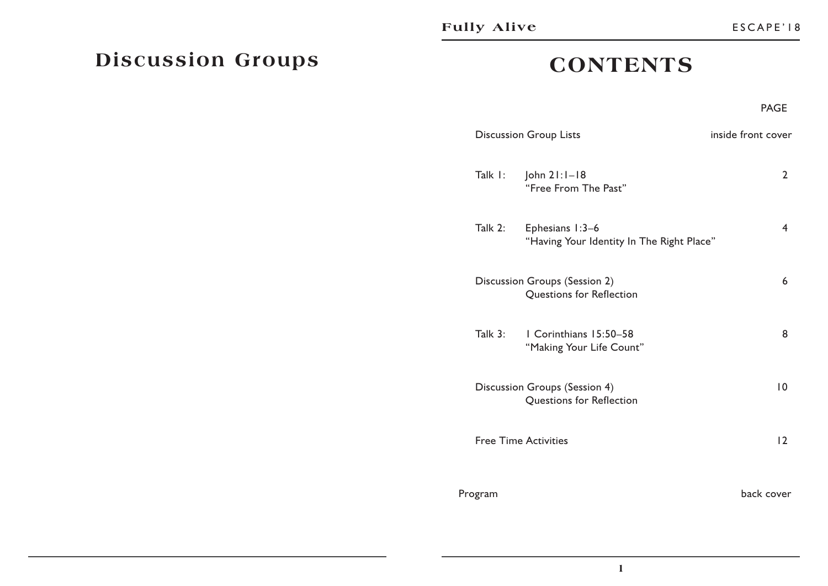### **CONTENTS**

#### en de la provincia de la provincia de la provincia de la provincia de la provincia de la provincia de la provi **PAGE**

|                             | <b>Discussion Group Lists</b>                                |                 |
|-----------------------------|--------------------------------------------------------------|-----------------|
| Talk I:                     | John $2!:1-18$<br>"Free From The Past"                       | 2               |
| Talk 2:                     | Ephesians 1:3-6<br>"Having Your Identity In The Right Place" | 4               |
|                             | Discussion Groups (Session 2)<br>Questions for Reflection    | 6               |
| Talk 3:                     | I Corinthians 15:50-58<br>"Making Your Life Count"           | 8               |
|                             | Discussion Groups (Session 4)<br>Questions for Reflection    | $\overline{10}$ |
| <b>Free Time Activities</b> |                                                              | 12              |
| Program                     |                                                              | back cover      |

# **Discussion Groups**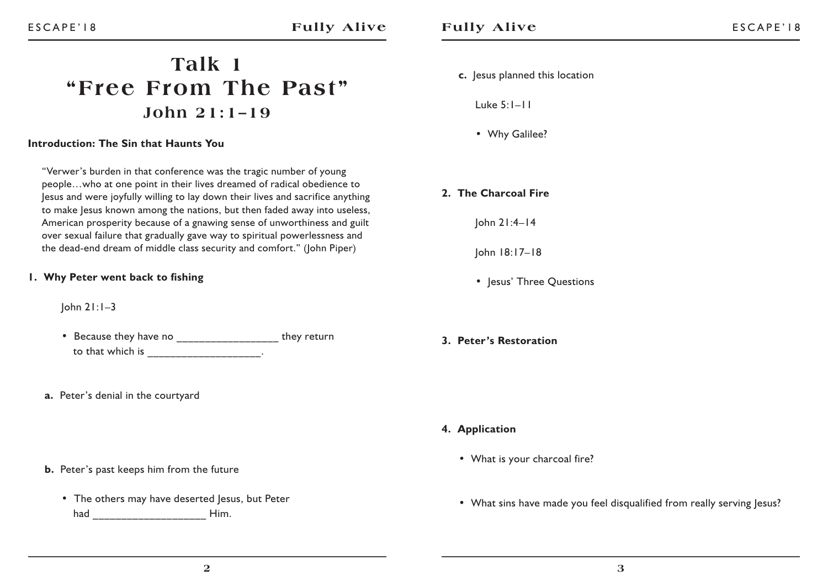### **Talk 1 "Free From The Past"John 21:1–19**

#### **Introduction: The Sin that Haunts You**

"Verwer's burden in that conference was the tragic number of young people…who at one point in their lives dreamed of radical obedience to Jesus and were joyfully willing to lay down their lives and sacrifice anything to make Jesus known among the nations, but then faded away into useless, American prosperity because of a gnawing sense of unworthiness and guilt over sexual failure that gradually gave way to spiritual powerlessness and the dead-end dream of middle class security and comfort." (John Piper)

#### **1. Why Peter went back to fishing**

John 21:1–3

- Because they have no \_\_\_\_\_\_\_\_\_\_\_\_\_\_\_\_\_\_\_ they return to that which is \_\_\_\_\_\_\_\_\_\_\_\_\_\_\_\_\_\_\_...
- **a.** Peter's denial in the courtyard

#### **b.** Peter's past keeps him from the future

 • The others may have deserted Jesus, but Peter had **Him.** 

#### **c.** Jesus planned this location

Luke 5:1–11

- Why Galilee?
- **2. The Charcoal Fire**

John 21:4–14

John 18:17–18

- Jesus' Three Questions
- **3. Peter's Restoration**

- **4. Application**
	- What is your charcoal fire?
	- What sins have made you feel disqualified from really serving lesus?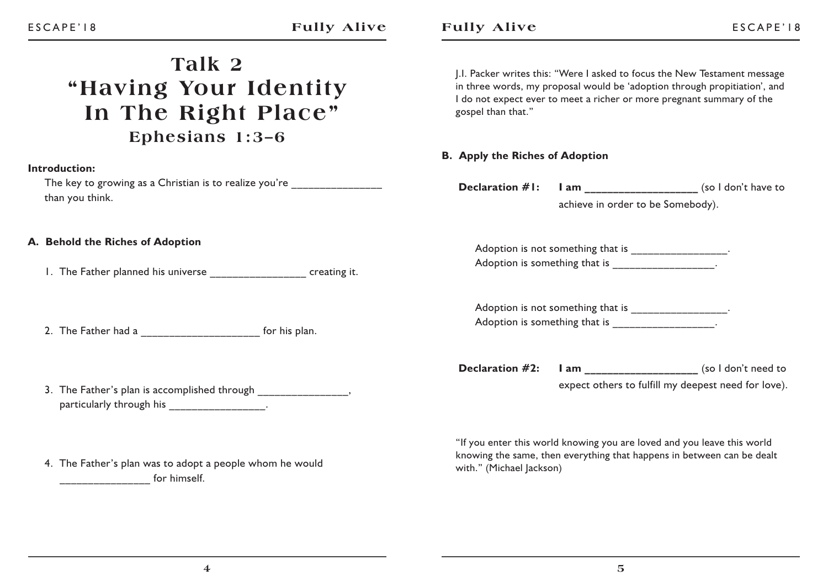# **Talk 2"Having Your Identity In The Right Place" Ephesians 1:3–6**

#### **Introduction:**

The key to growing as a Christian is to realize you're than you think.

#### **A. Behold the Riches of Adoption**

1. The Father planned his universe \_\_\_\_\_\_\_\_\_\_\_\_\_\_\_\_\_ creating it.

2. The Father had a **a** a set of this plan.

- 3. The Father's plan is accomplished through  $\sim$ , particularly through his extended to the control of the set of the control of the control of the control of the control of the control of the control of the control of the control of the control of the control of the contr
- 4. The Father's plan was to adopt a people whom he would  $\frac{1}{2}$  for himself.

J.I. Packer writes this: "Were I asked to focus the New Testament message in three words, my proposal would be 'adoption through propitiation', and I do not expect ever to meet a richer or more pregnant summary of the gospel than that."

#### **B. Apply the Riches of Adoption**

**Declaration #1:** I am  $($ so I don't have to achieve in order to be Somebody).

Adoption is not something that is \_\_\_\_\_\_\_\_\_\_\_\_\_\_\_\_. Adoption is something that is \_\_\_\_\_\_\_\_\_\_\_\_\_\_\_\_\_.

Adoption is not something that is  $\qquad \qquad$ Adoption is something that is \_\_\_\_\_\_\_\_\_\_\_\_\_\_\_\_\_.

**Declaration #2:** I am \_\_\_\_\_\_\_\_\_\_\_\_\_\_\_\_\_\_\_\_\_ (so I don't need to expect others to fulfill my deepest need for love).

"If you enter this world knowing you are loved and you leave this world knowing the same, then everything that happens in between can be dealt with." (Michael Jackson)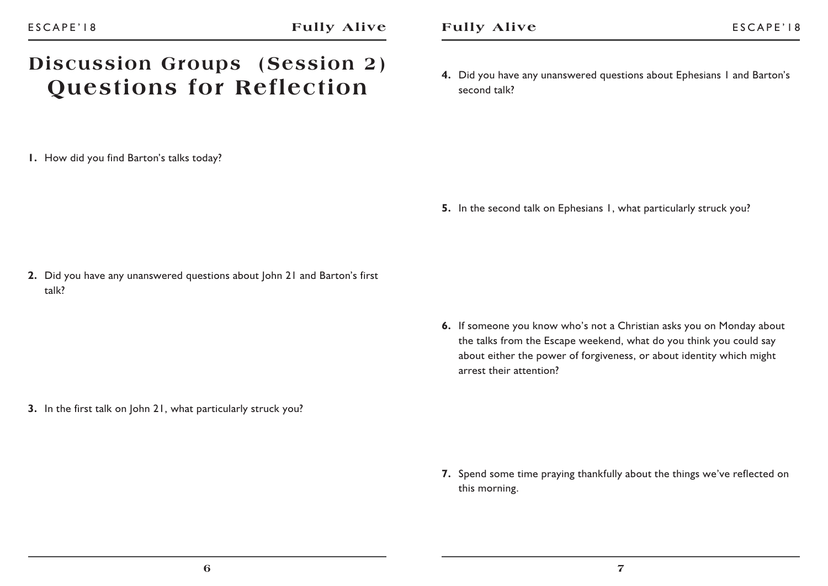### **Discussion Groups (Session 2) Questions for Reflection**

**1.** How did you find Barton's talks today?

**4.** Did you have any unanswered questions about Ephesians 1 and Barton's second talk?

**5.** In the second talk on Ephesians 1, what particularly struck you?

**2.** Did you have any unanswered questions about John 21 and Barton's first talk?

> **6.** If someone you know who's not a Christian asks you on Monday about the talks from the Escape weekend, what do you think you could say about either the power of forgiveness, or about identity which might arrest their attention?

**3.** In the first talk on John 21, what particularly struck you?

**7.** Spend some time praying thankfully about the things we've reflected on this morning.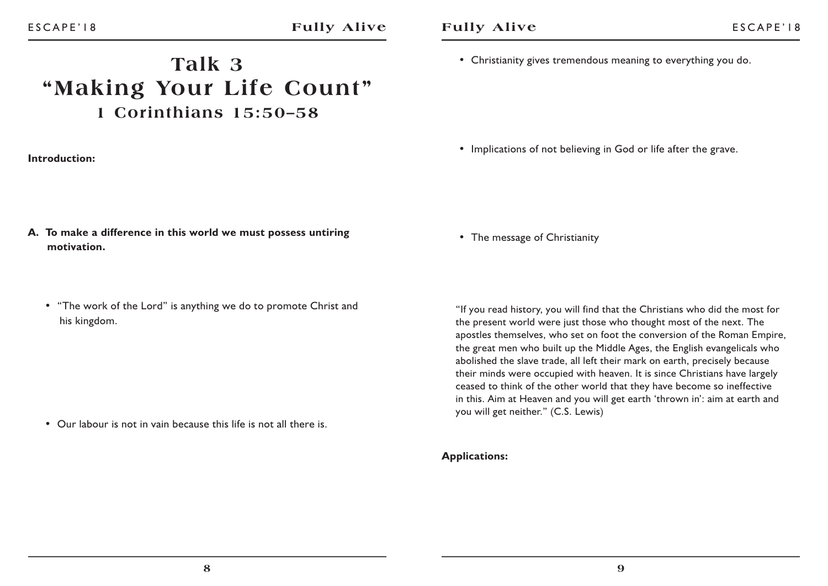## **Talk 3"Making Your Life Count" 1 Corinthians 15:50–58**

#### **Introduction:**

• Christianity gives tremendous meaning to everything you do.

• Implications of not believing in God or life after the grave.

- **A. To make a difference in this world we must possess untiring motivation.**
	- "The work of the Lord" is anything we do to promote Christ and his kingdom.

• Our labour is not in vain because this life is not all there is.

• The message of Christianity

"If you read history, you will find that the Christians who did the most for the present world were just those who thought most of the next. The apostles themselves, who set on foot the conversion of the Roman Empire, the great men who built up the Middle Ages, the English evangelicals who abolished the slave trade, all left their mark on earth, precisely because their minds were occupied with heaven. It is since Christians have largely ceased to think of the other world that they have become so ineffective in this. Aim at Heaven and you will get earth 'thrown in': aim at earth and you will get neither." (C.S. Lewis)

#### **Applications:**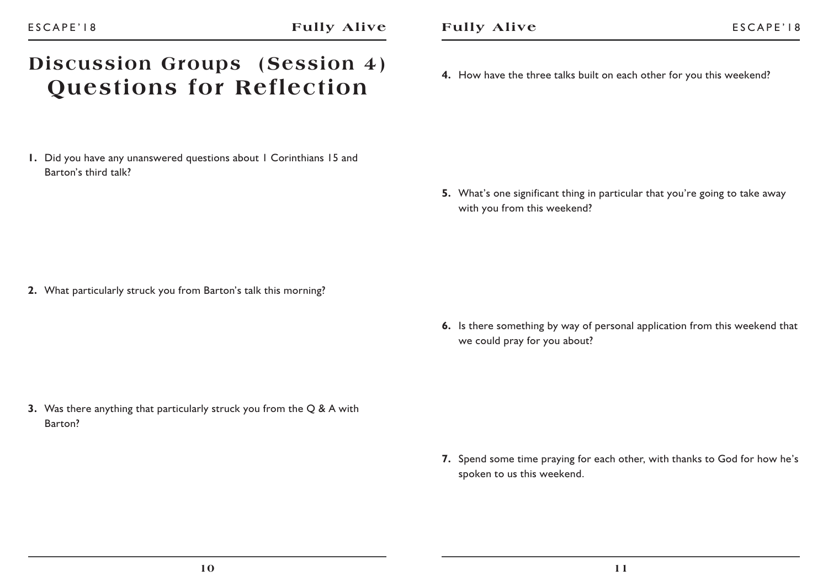## **Discussion Groups (Session 4) Questions for Reflection**

**1.** Did you have any unanswered questions about 1 Corinthians 15 and Barton's third talk?

**4.** How have the three talks built on each other for you this weekend?

**5.** What's one significant thing in particular that you're going to take away with you from this weekend?

**2.** What particularly struck you from Barton's talk this morning?

**6.** Is there something by way of personal application from this weekend that we could pray for you about?

**3.** Was there anything that particularly struck you from the Q & A with Barton?

> **7.** Spend some time praying for each other, with thanks to God for how he's spoken to us this weekend.